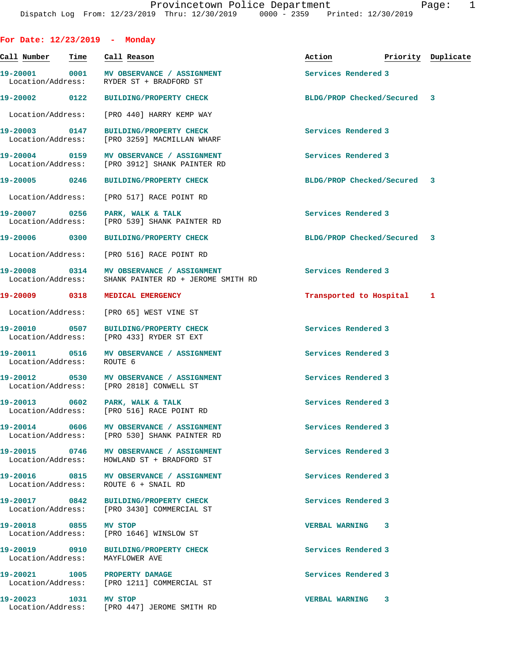| For Date: $12/23/2019$ - Monday    |      |                                                                                        |                             |   |                    |
|------------------------------------|------|----------------------------------------------------------------------------------------|-----------------------------|---|--------------------|
| Call Number                        | Time | Call Reason                                                                            | Action                      |   | Priority Duplicate |
| Location/Address:                  |      | 19-20001 0001 MV OBSERVANCE / ASSIGNMENT<br>RYDER ST + BRADFORD ST                     | Services Rendered 3         |   |                    |
| 19-20002 0122                      |      | <b>BUILDING/PROPERTY CHECK</b>                                                         | BLDG/PROP Checked/Secured 3 |   |                    |
| Location/Address:                  |      | [PRO 440] HARRY KEMP WAY                                                               |                             |   |                    |
| 19-20003 0147<br>Location/Address: |      | <b>BUILDING/PROPERTY CHECK</b><br>[PRO 3259] MACMILLAN WHARF                           | Services Rendered 3         |   |                    |
| 19-20004 0159<br>Location/Address: |      | MV OBSERVANCE / ASSIGNMENT<br>[PRO 3912] SHANK PAINTER RD                              | Services Rendered 3         |   |                    |
| 19-20005 0246                      |      | <b>BUILDING/PROPERTY CHECK</b>                                                         | BLDG/PROP Checked/Secured 3 |   |                    |
| Location/Address:                  |      | [PRO 517] RACE POINT RD                                                                |                             |   |                    |
| 19-20007 0256<br>Location/Address: |      | PARK, WALK & TALK<br>[PRO 539] SHANK PAINTER RD                                        | Services Rendered 3         |   |                    |
| 19-20006 0300                      |      | <b>BUILDING/PROPERTY CHECK</b>                                                         | BLDG/PROP Checked/Secured 3 |   |                    |
| Location/Address:                  |      | [PRO 516] RACE POINT RD                                                                |                             |   |                    |
| 19-20008 0314<br>Location/Address: |      | MV OBSERVANCE / ASSIGNMENT<br>SHANK PAINTER RD + JEROME SMITH RD                       | Services Rendered 3         |   |                    |
| 19-20009 2001                      | 0318 | MEDICAL EMERGENCY                                                                      | Transported to Hospital     |   | 1                  |
| Location/Address:                  |      | [PRO 65] WEST VINE ST                                                                  |                             |   |                    |
| 19-20010 0507<br>Location/Address: |      | <b>BUILDING/PROPERTY CHECK</b><br>[PRO 433] RYDER ST EXT                               | Services Rendered 3         |   |                    |
| 19-20011 0516<br>Location/Address: |      | MV OBSERVANCE / ASSIGNMENT<br>ROUTE 6                                                  | Services Rendered 3         |   |                    |
| 19-20012 0530<br>Location/Address: |      | MV OBSERVANCE / ASSIGNMENT<br>[PRO 2818] CONWELL ST                                    | Services Rendered 3         |   |                    |
| 19-20013                           | 0602 | PARK, WALK & TALK<br>Location/Address: [PRO 516] RACE POINT RD                         | Services Rendered 3         |   |                    |
| 19-20014 0606                      |      | <b>MV OBSERVANCE / ASSIGNMENT</b><br>Location/Address: [PRO 530] SHANK PAINTER RD      | Services Rendered 3         |   |                    |
|                                    |      | 19-20015 0746 MV OBSERVANCE / ASSIGNMENT<br>Location/Address: HOWLAND ST + BRADFORD ST | Services Rendered 3         |   |                    |
| 19-20016 0815<br>Location/Address: |      | MV OBSERVANCE / ASSIGNMENT<br>ROUTE 6 + SNAIL RD                                       | Services Rendered 3         |   |                    |
| 19-20017 0842                      |      | <b>BUILDING/PROPERTY CHECK</b><br>Location/Address: [PRO 3430] COMMERCIAL ST           | Services Rendered 3         |   |                    |
| 19-20018 0855<br>Location/Address: |      | MV STOP<br>[PRO 1646] WINSLOW ST                                                       | <b>VERBAL WARNING</b>       | 3 |                    |
| 19-20019 0910<br>Location/Address: |      | <b>BUILDING/PROPERTY CHECK</b><br>MAYFLOWER AVE                                        | Services Rendered 3         |   |                    |
|                                    |      | 19-20021 1005 PROPERTY DAMAGE<br>Location/Address: [PRO 1211] COMMERCIAL ST            | Services Rendered 3         |   |                    |
| 19-20023 1031 MV STOP              |      | Location/Address: [PRO 447] JEROME SMITH RD                                            | <b>VERBAL WARNING</b>       | 3 |                    |
|                                    |      |                                                                                        |                             |   |                    |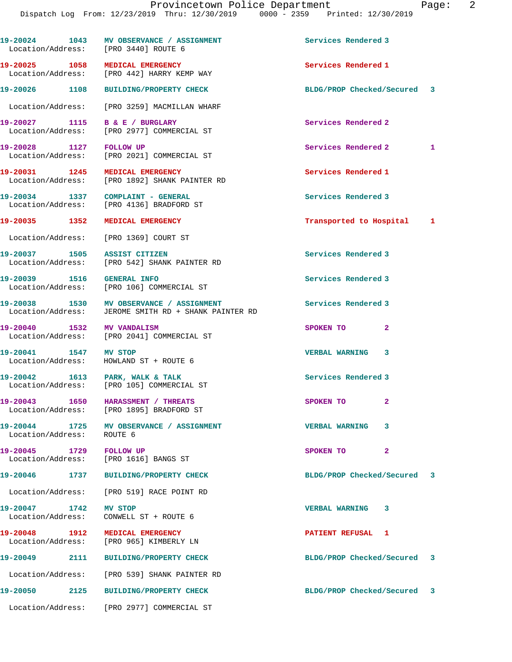| 19-20024 1043<br>Location/Address: [PRO 3440] ROUTE 6            | MV OBSERVANCE / ASSIGNMENT                                                     | Services Rendered 3         |   |
|------------------------------------------------------------------|--------------------------------------------------------------------------------|-----------------------------|---|
| 19-20025 1058                                                    | <b>MEDICAL EMERGENCY</b><br>Location/Address: [PRO 442] HARRY KEMP WAY         | Services Rendered 1         |   |
| 19-20026 1108                                                    | BUILDING/PROPERTY CHECK                                                        | BLDG/PROP Checked/Secured 3 |   |
|                                                                  | Location/Address: [PRO 3259] MACMILLAN WHARF                                   |                             |   |
| 19-20027 1115 B & E / BURGLARY<br>Location/Address:              | [PRO 2977] COMMERCIAL ST                                                       | Services Rendered 2         |   |
| 19-20028 1127 FOLLOW UP                                          | Location/Address: [PRO 2021] COMMERCIAL ST                                     | Services Rendered 2         | 1 |
| 19-20031 1245                                                    | MEDICAL EMERGENCY<br>Location/Address: [PRO 1892] SHANK PAINTER RD             | Services Rendered 1         |   |
|                                                                  | 19-20034 1337 COMPLAINT - GENERAL<br>Location/Address: [PRO 4136] BRADFORD ST  | Services Rendered 3         |   |
| 19-20035 1352                                                    | MEDICAL EMERGENCY                                                              | Transported to Hospital 1   |   |
| Location/Address: [PRO 1369] COURT ST                            |                                                                                |                             |   |
| 19-20037 1505 ASSIST CITIZEN                                     | Location/Address: [PRO 542] SHANK PAINTER RD                                   | Services Rendered 3         |   |
| 19-20039 1516                                                    | <b>GENERAL INFO</b><br>Location/Address: [PRO 106] COMMERCIAL ST               | Services Rendered 3         |   |
| Location/Address:                                                | 19-20038 1530 MV OBSERVANCE / ASSIGNMENT<br>JEROME SMITH RD + SHANK PAINTER RD | Services Rendered 3         |   |
| 19-20040 1532 MV VANDALISM                                       | Location/Address: [PRO 2041] COMMERCIAL ST                                     | SPOKEN TO<br>$\mathbf{2}$   |   |
| 19-20041 1547 MV STOP<br>Location/Address:                       | HOWLAND ST + ROUTE 6                                                           | VERBAL WARNING 3            |   |
|                                                                  | 19-20042 1613 PARK, WALK & TALK<br>Location/Address: [PRO 105] COMMERCIAL ST   | Services Rendered 3         |   |
| 19-20043 1650                                                    | HARASSMENT / THREATS<br>Location/Address: [PRO 1895] BRADFORD ST               | SPOKEN TO<br>$\mathbf{2}$   |   |
| Location/Address: ROUTE 6                                        | 19-20044 1725 MV OBSERVANCE / ASSIGNMENT                                       | <b>VERBAL WARNING</b><br>3  |   |
| 19-20045 1729 FOLLOW UP<br>Location/Address: [PRO 1616] BANGS ST |                                                                                | SPOKEN TO<br>$\mathbf{2}$   |   |
|                                                                  | 19-20046 1737 BUILDING/PROPERTY CHECK                                          | BLDG/PROP Checked/Secured 3 |   |
|                                                                  | Location/Address: [PRO 519] RACE POINT RD                                      |                             |   |
| 19-20047 1742 MV STOP                                            | Location/Address: CONWELL ST + ROUTE 6                                         | <b>VERBAL WARNING 3</b>     |   |
| 19-20048 1912 MEDICAL EMERGENCY                                  | Location/Address: [PRO 965] KIMBERLY LN                                        | <b>PATIENT REFUSAL 1</b>    |   |
| 19-20049 2111                                                    | BUILDING/PROPERTY CHECK                                                        | BLDG/PROP Checked/Secured 3 |   |
|                                                                  | Location/Address: [PRO 539] SHANK PAINTER RD                                   |                             |   |
|                                                                  | 19-20050 2125 BUILDING/PROPERTY CHECK                                          | BLDG/PROP Checked/Secured 3 |   |
|                                                                  | Location/Address: [PRO 2977] COMMERCIAL ST                                     |                             |   |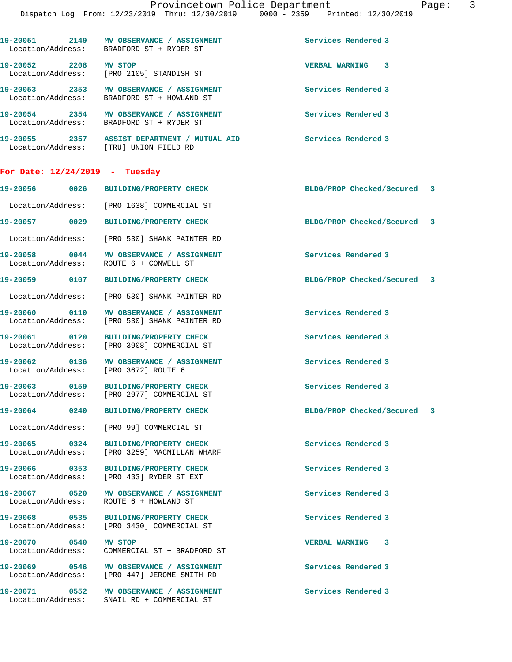|                                    | 19-20051 2149 MV OBSERVANCE / ASSIGNMENT<br>Location/Address: BRADFORD ST + RYDER ST   | Services Rendered 3         |  |
|------------------------------------|----------------------------------------------------------------------------------------|-----------------------------|--|
| 19-20052 2208 MV STOP              | Location/Address: [PRO 2105] STANDISH ST                                               | <b>VERBAL WARNING 3</b>     |  |
|                                    | 19-20053 2353 MV OBSERVANCE / ASSIGNMENT<br>Location/Address: BRADFORD ST + HOWLAND ST | Services Rendered 3         |  |
|                                    | 19-20054 2354 MV OBSERVANCE / ASSIGNMENT<br>Location/Address: BRADFORD ST + RYDER ST   | Services Rendered 3         |  |
|                                    | 19-20055 2357 ASSIST DEPARTMENT / MUTUAL AID<br>Location/Address: [TRU] UNION FIELD RD | Services Rendered 3         |  |
|                                    | For Date: 12/24/2019 - Tuesday                                                         |                             |  |
|                                    |                                                                                        | BLDG/PROP Checked/Secured 3 |  |
|                                    | Location/Address: [PRO 1638] COMMERCIAL ST                                             |                             |  |
| 19-20057 0029                      | <b>BUILDING/PROPERTY CHECK</b>                                                         | BLDG/PROP Checked/Secured 3 |  |
|                                    | Location/Address: [PRO 530] SHANK PAINTER RD                                           |                             |  |
| 19-20058 0044<br>Location/Address: | MV OBSERVANCE / ASSIGNMENT<br>ROUTE 6 + CONWELL ST                                     | Services Rendered 3         |  |
| 19-20059 0107                      | BUILDING/PROPERTY CHECK                                                                | BLDG/PROP Checked/Secured 3 |  |
|                                    | Location/Address: [PRO 530] SHANK PAINTER RD                                           |                             |  |
| 19-20060 0110                      | MV OBSERVANCE / ASSIGNMENT<br>Location/Address: [PRO 530] SHANK PAINTER RD             | Services Rendered 3         |  |
| 19-20061 0120                      |                                                                                        | Services Rendered 3         |  |
|                                    | BUILDING/PROPERTY CHECK<br>Location/Address: [PRO 3908] COMMERCIAL ST                  |                             |  |
| 19-20062 0136                      | MV OBSERVANCE / ASSIGNMENT<br>Location/Address: [PRO 3672] ROUTE 6                     | Services Rendered 3         |  |
| 19-20063 0159                      | <b>BUILDING/PROPERTY CHECK</b><br>Location/Address: [PRO 2977] COMMERCIAL ST           | Services Rendered 3         |  |
| 19-20064 0240                      | <b>BUILDING/PROPERTY CHECK</b>                                                         | BLDG/PROP Checked/Secured 3 |  |
|                                    | Location/Address: [PRO 99] COMMERCIAL ST                                               |                             |  |
| 19-20065 0324                      | <b>BUILDING/PROPERTY CHECK</b><br>Location/Address: [PRO 3259] MACMILLAN WHARF         | Services Rendered 3         |  |
| 19-20066 0353                      | <b>BUILDING/PROPERTY CHECK</b><br>Location/Address: [PRO 433] RYDER ST EXT             | Services Rendered 3         |  |
|                                    | Location/Address: ROUTE 6 + HOWLAND ST                                                 | Services Rendered 3         |  |
| 19-20068 0535                      | BUILDING/PROPERTY CHECK<br>Location/Address: [PRO 3430] COMMERCIAL ST                  | Services Rendered 3         |  |
| 19-20070 0540<br>Location/Address: | <b>MV STOP</b><br>COMMERCIAL ST + BRADFORD ST                                          | <b>VERBAL WARNING 3</b>     |  |
| 19-20069 0546                      | MV OBSERVANCE / ASSIGNMENT<br>Location/Address: [PRO 447] JEROME SMITH RD              | Services Rendered 3         |  |
| 19-20071 0552                      | MV OBSERVANCE / ASSIGNMENT                                                             | Services Rendered 3         |  |

Location/Address: SNAIL RD + COMMERCIAL ST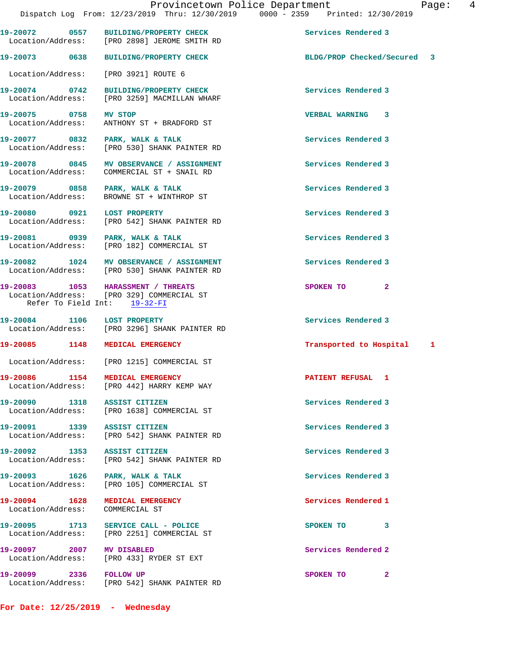**19-20072 0557 BUILDING/PROPERTY CHECK Services Rendered 3** 

Location/Address: [PRO 2898] JEROME SMITH RD

**19-20073 0638 BUILDING/PROPERTY CHECK BLDG/PROP Checked/Secured 3** Location/Address: [PRO 3921] ROUTE 6 **19-20074 0742 BUILDING/PROPERTY CHECK Services Rendered 3**  Location/Address: [PRO 3259] MACMILLAN WHARF **19-20075 0758 MV STOP VERBAL WARNING 3**  ANTHONY ST + BRADFORD ST **19-20077 0832 PARK, WALK & TALK Services Rendered 3**  Location/Address: [PRO 530] SHANK PAINTER RD 19-20078 0845 MV OBSERVANCE / ASSIGNMENT **Services Rendered 3**  Location/Address: COMMERCIAL ST + SNAIL RD **19-20079 0858 PARK, WALK & TALK Services Rendered 3**  Location/Address: BROWNE ST + WINTHROP ST **19-20080 0921 LOST PROPERTY Services Rendered 3**  Location/Address: [PRO 542] SHANK PAINTER RD **19-20081 0939 PARK, WALK & TALK Services Rendered 3**  Location/Address: [PRO 182] COMMERCIAL ST **19-20082 1024 MV OBSERVANCE / ASSIGNMENT Services Rendered 3**  Location/Address: [PRO 530] SHANK PAINTER RD **19-20083 1053 HARASSMENT / THREATS SPOKEN TO 2**  Location/Address: [PRO 329] COMMERCIAL ST Refer To Field Int: 19-32-FI **19-20084 1106 LOST PROPERTY Services Rendered 3**  Location/Address: [PRO 3296] SHANK PAINTER RD **19-20085 1148 MEDICAL EMERGENCY Transported to Hospital 1** Location/Address: [PRO 1215] COMMERCIAL ST **19-20086 1154 MEDICAL EMERGENCY PATIENT REFUSAL 1**  Location/Address: [PRO 442] HARRY KEMP WAY **19-20090 1318 ASSIST CITIZEN Services Rendered 3**  Location/Address: [PRO 1638] COMMERCIAL ST 19-20091 1339 ASSIST CITIZEN **19-20091** Services Rendered 3 Location/Address: [PRO 542] SHANK PAINTER RD **19-20092 1353 ASSIST CITIZEN Services Rendered 3**  Location/Address: [PRO 542] SHANK PAINTER RD **19-20093 1626 PARK, WALK & TALK Services Rendered 3**  Location/Address: [PRO 105] COMMERCIAL ST **19-20094 1628 MEDICAL EMERGENCY Services Rendered 1**  Location/Address: COMMERCIAL ST **19-20095 1713 SERVICE CALL - POLICE SPOKEN TO 3**  Location/Address: [PRO 2251] COMMERCIAL ST **19-20097 2007 MV DISABLED Services Rendered 2**  Location/Address: [PRO 433] RYDER ST EXT **19-20099 2336 FOLLOW UP SPOKEN TO** 2 Location/Address: [PRO 542] SHANK PAINTER RD **For Date: 12/25/2019 - Wednesday**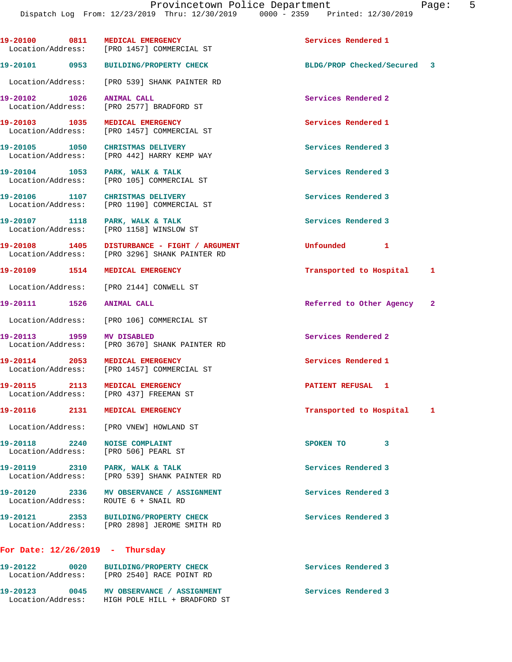| 19-20100 0811                      |      | MEDICAL EMERGENCY<br>Location/Address: [PRO 1457] COMMERCIAL ST                 | Services Rendered 1         |   |   |
|------------------------------------|------|---------------------------------------------------------------------------------|-----------------------------|---|---|
|                                    |      | 19-20101 0953 BUILDING/PROPERTY CHECK                                           | BLDG/PROP Checked/Secured 3 |   |   |
|                                    |      | Location/Address: [PRO 539] SHANK PAINTER RD                                    |                             |   |   |
| 19-20102 1026                      |      | <b>ANIMAL CALL</b><br>Location/Address: [PRO 2577] BRADFORD ST                  | Services Rendered 2         |   |   |
| 19-20103 1035                      |      | MEDICAL EMERGENCY<br>Location/Address: [PRO 1457] COMMERCIAL ST                 | Services Rendered 1         |   |   |
|                                    |      | 19-20105 1050 CHRISTMAS DELIVERY<br>Location/Address: [PRO 442] HARRY KEMP WAY  | Services Rendered 3         |   |   |
|                                    |      | 19-20104 1053 PARK, WALK & TALK<br>Location/Address: [PRO 105] COMMERCIAL ST    | Services Rendered 3         |   |   |
|                                    |      | 19-20106 1107 CHRISTMAS DELIVERY<br>Location/Address: [PRO 1190] COMMERCIAL ST  | Services Rendered 3         |   |   |
| 19-20107 1118<br>Location/Address: |      | PARK, WALK & TALK<br>[PRO 1158] WINSLOW ST                                      | Services Rendered 3         |   |   |
| 19-20108 1405                      |      | DISTURBANCE - FIGHT / ARGUMENT<br>Location/Address: [PRO 3296] SHANK PAINTER RD | Unfounded 1                 |   |   |
| 19-20109 1514                      |      | <b>MEDICAL EMERGENCY</b>                                                        | Transported to Hospital     |   | 1 |
|                                    |      | Location/Address: [PRO 2144] CONWELL ST                                         |                             |   |   |
| 19-20111 1526 ANIMAL CALL          |      |                                                                                 | Referred to Other Agency    |   | 2 |
| Location/Address:                  |      | [PRO 106] COMMERCIAL ST                                                         |                             |   |   |
| 19-20113 1959<br>Location/Address: |      | <b>MV DISABLED</b><br>[PRO 3670] SHANK PAINTER RD                               | Services Rendered 2         |   |   |
| 19-20114 2053                      |      | MEDICAL EMERGENCY<br>Location/Address: [PRO 1457] COMMERCIAL ST                 | Services Rendered 1         |   |   |
|                                    |      | 19-20115 2113 MEDICAL EMERGENCY<br>Location/Address: [PRO 437] FREEMAN ST       | PATIENT REFUSAL 1           |   |   |
|                                    |      | 19-20116 2131 MEDICAL EMERGENCY                                                 | Transported to Hospital     |   | 1 |
|                                    |      | Location/Address: [PRO VNEW] HOWLAND ST                                         |                             |   |   |
| 19-20118 2240                      |      | <b>NOISE COMPLAINT</b><br>Location/Address: [PRO 506] PEARL ST                  | SPOKEN TO                   | 3 |   |
|                                    |      | 19-20119 2310 PARK, WALK & TALK<br>Location/Address: [PRO 539] SHANK PAINTER RD | Services Rendered 3         |   |   |
| Location/Address:                  |      | 19-20120 2336 MV OBSERVANCE / ASSIGNMENT<br>ROUTE 6 + SNAIL RD                  | Services Rendered 3         |   |   |
| 19-20121 2353                      |      | BUILDING/PROPERTY CHECK<br>Location/Address: [PRO 2898] JEROME SMITH RD         | Services Rendered 3         |   |   |
|                                    |      | For Date: $12/26/2019$ - Thursday                                               |                             |   |   |
| 19-20122 0020                      |      | BUILDING/PROPERTY CHECK<br>Location/Address: [PRO 2540] RACE POINT RD           | Services Rendered 3         |   |   |
| 19-20123                           | 0045 | MV OBSERVANCE / ASSIGNMENT                                                      | Services Rendered 3         |   |   |

Location/Address: HIGH POLE HILL + BRADFORD ST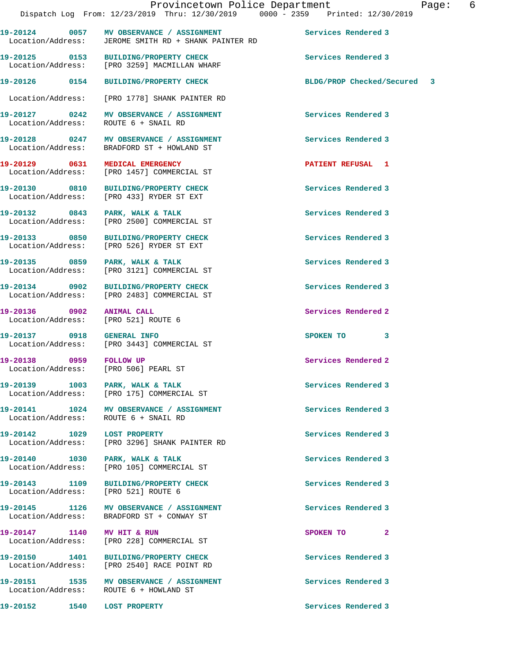**19-20124 0057 MV OBSERVANCE / ASSIGNMENT Services Rendered 3**  Location/Address: JEROME SMITH RD + SHANK PAINTER RD **19-20125 0153 BUILDING/PROPERTY CHECK Services Rendered 3**  [PRO 3259] MACMILLAN WHARF **19-20126 0154 BUILDING/PROPERTY CHECK BLDG/PROP Checked/Secured 3** Location/Address: [PRO 1778] SHANK PAINTER RD **19-20127 0242 MV OBSERVANCE / ASSIGNMENT Services Rendered 3**  Location/Address: **19-20128 0247 MV OBSERVANCE / ASSIGNMENT Services Rendered 3**  Location/Address: BRADFORD ST + HOWLAND ST **19-20129 0631 MEDICAL EMERGENCY PATIENT REFUSAL 1**  Location/Address: [PRO 1457] COMMERCIAL ST **19-20130 0810 BUILDING/PROPERTY CHECK Services Rendered 3**  Location/Address: [PRO 433] RYDER ST EXT **19-20132 0843 PARK, WALK & TALK Services Rendered 3**  Location/Address: [PRO 2500] COMMERCIAL ST **19-20133 0850 BUILDING/PROPERTY CHECK Services Rendered 3**  [PRO 526] RYDER ST EXT 19-20135 0859 PARK, WALK & TALK **Services Rendered 3**  Location/Address: [PRO 3121] COMMERCIAL ST **19-20134 0902 BUILDING/PROPERTY CHECK Services Rendered 3**  Location/Address: [PRO 2483] COMMERCIAL ST **19-20136 0902 ANIMAL CALL Services Rendered 2**  Location/Address: [PRO 521] ROUTE 6 **19-20137 0918 GENERAL INFO SPOKEN TO 3**  [PRO 3443] COMMERCIAL ST **19-20138 0959 FOLLOW UP Services Rendered 2**  Location/Address: [PRO 506] PEARL ST 19-20139 1003 PARK, WALK & TALK **Services Rendered** 3 Location/Address: [PRO 175] COMMERCIAL ST 19-20141 1024 MV OBSERVANCE / ASSIGNMENT **Services Rendered 3**  Location/Address: ROUTE 6 + SNAIL RD **19-20142 1029 LOST PROPERTY Services Rendered 3**  Location/Address: [PRO 3296] SHANK PAINTER RD 19-20140 1030 PARK, WALK & TALK **Services Rendered 3**  Location/Address: [PRO 105] COMMERCIAL ST **19-20143 1109 BUILDING/PROPERTY CHECK Services Rendered 3**  Location/Address: [PRO 521] ROUTE 6 **19-20145 1126 MV OBSERVANCE / ASSIGNMENT Services Rendered 3**  Location/Address: BRADFORD ST + CONWAY ST **19-20147** 1140 MV HIT & RUN **19-20147** SPOKEN TO 2 Location/Address: [PRO 228] COMMERCIAL ST **19-20150 1401 BUILDING/PROPERTY CHECK Services Rendered 3**  Location/Address: [PRO 2540] RACE POINT RD **19-20151 1535 MV OBSERVANCE / ASSIGNMENT Services Rendered 3**  Location/Address: ROUTE 6 + HOWLAND ST **19-20152 1540 LOST PROPERTY Services Rendered 3**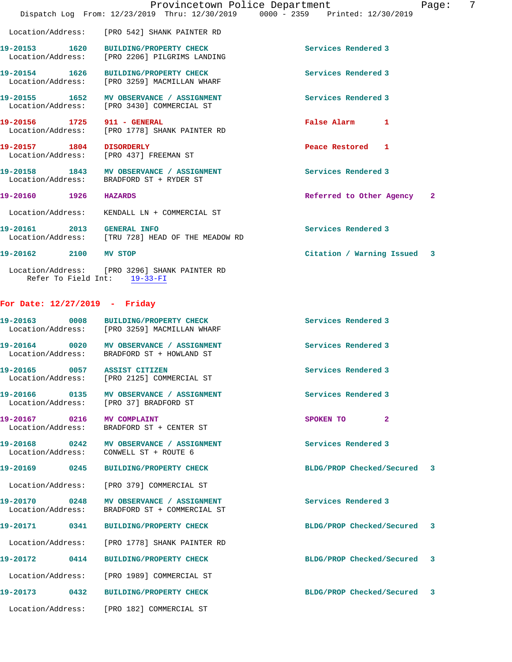|                                                                                        |                                                                                | Provincetown Police Department |  |                           |              | Page: | 7 |
|----------------------------------------------------------------------------------------|--------------------------------------------------------------------------------|--------------------------------|--|---------------------------|--------------|-------|---|
|                                                                                        | Dispatch Log From: 12/23/2019 Thru: 12/30/2019 0000 - 2359 Printed: 12/30/2019 |                                |  |                           |              |       |   |
| Location/Address: [PRO 542] SHANK PAINTER RD                                           |                                                                                |                                |  |                           |              |       |   |
| 19-20153 1620 BUILDING/PROPERTY CHECK<br>Location/Address: [PRO 2206] PILGRIMS LANDING |                                                                                |                                |  | Services Rendered 3       |              |       |   |
| 19-20154 1626 BUILDING/PROPERTY CHECK<br>Location/Address: [PRO 3259] MACMILLAN WHARF  |                                                                                |                                |  | Services Rendered 3       |              |       |   |
| 19-20155 1652 MV OBSERVANCE / ASSIGNMENT<br>Location/Address: [PRO 3430] COMMERCIAL ST |                                                                                |                                |  | Services Rendered 3       |              |       |   |
| 19-20156 1725 911 - GENERAL<br>Location/Address: [PRO 1778] SHANK PAINTER RD           |                                                                                |                                |  | False Alarm               | $\mathbf{1}$ |       |   |
| 19-20157 1804 DISORDERLY<br>Location/Address: [PRO 437] FREEMAN ST                     |                                                                                |                                |  | Peace Restored 1          |              |       |   |
| 19-20158 1843 MV OBSERVANCE / ASSIGNMENT<br>Location/Address: BRADFORD ST + RYDER ST   |                                                                                |                                |  | Services Rendered 3       |              |       |   |
| 19-20160 1926                                                                          | <b>HAZARDS</b>                                                                 |                                |  | Referred to Other Agency  |              | -2    |   |
| Location/Address:                                                                      | KENDALL LN + COMMERCIAL ST                                                     |                                |  |                           |              |       |   |
| 19-20161 2013<br>Location/Address: [TRU 728] HEAD OF THE MEADOW RD                     | <b>GENERAL INFO</b>                                                            |                                |  | Services Rendered 3       |              |       |   |
| 19-20162 2100                                                                          | MV STOP                                                                        |                                |  | Citation / Warning Issued |              | 3     |   |

 Location/Address: [PRO 3296] SHANK PAINTER RD Refer To Field Int: 19-33-FI

## **For Date: 12/27/2019 - Friday**

| 19-20163 0008                                    | BUILDING/PROPERTY CHECK<br>Location/Address: [PRO 3259] MACMILLAN WHARF                | Services Rendered 3         |  |
|--------------------------------------------------|----------------------------------------------------------------------------------------|-----------------------------|--|
|                                                  | 19-20164 0020 MV OBSERVANCE / ASSIGNMENT<br>Location/Address: BRADFORD ST + HOWLAND ST | Services Rendered 3         |  |
| 19-20165 0057 ASSIST CITIZEN                     | Location/Address: [PRO 2125] COMMERCIAL ST                                             | Services Rendered 3         |  |
|                                                  | Location/Address: [PRO 37] BRADFORD ST                                                 | Services Rendered 3         |  |
| 19-20167  0216 MV COMPLAINT<br>Location/Address: | BRADFORD ST + CENTER ST                                                                | SPOKEN TO<br>$\overline{2}$ |  |
|                                                  | 19-20168  0242 MV OBSERVANCE / ASSIGNMENT<br>Location/Address: CONWELL ST + ROUTE 6    | Services Rendered 3         |  |
| 19-20169 0245                                    | <b>BUILDING/PROPERTY CHECK</b>                                                         | BLDG/PROP Checked/Secured 3 |  |
|                                                  | Location/Address: [PRO 379] COMMERCIAL ST                                              |                             |  |
| 19-20170 0248<br>Location/Address:               | MV OBSERVANCE / ASSIGNMENT<br>BRADFORD ST + COMMERCIAL ST                              | Services Rendered 3         |  |
| 19-20171 0341                                    | BUILDING/PROPERTY CHECK                                                                | BLDG/PROP Checked/Secured 3 |  |
|                                                  | Location/Address: [PRO 1778] SHANK PAINTER RD                                          |                             |  |
| 19-20172 0414                                    | <b>BUILDING/PROPERTY CHECK</b>                                                         | BLDG/PROP Checked/Secured 3 |  |
|                                                  | Location/Address: [PRO 1989] COMMERCIAL ST                                             |                             |  |
| 19-20173 0432                                    | <b>BUILDING/PROPERTY CHECK</b>                                                         | BLDG/PROP Checked/Secured 3 |  |
|                                                  | Location/Address: [PRO 182] COMMERCIAL ST                                              |                             |  |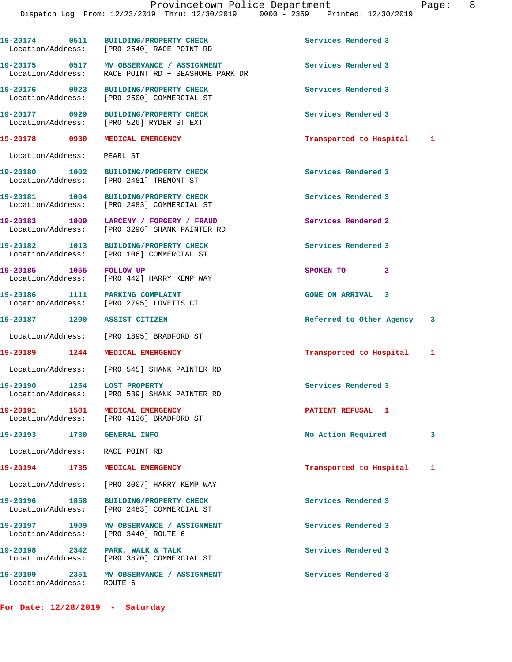|                                                       | 19-20174 0511 BUILDING/PROPERTY CHECK<br>Location/Address: [PRO 2540] RACE POINT RD      | Services Rendered 3        |   |
|-------------------------------------------------------|------------------------------------------------------------------------------------------|----------------------------|---|
|                                                       |                                                                                          | Services Rendered 3        |   |
|                                                       | 19-20176 0923 BUILDING/PROPERTY CHECK<br>Location/Address: [PRO 2500] COMMERCIAL ST      | Services Rendered 3        |   |
| 19-20177 0929                                         | <b>BUILDING/PROPERTY CHECK</b><br>Location/Address: [PRO 526] RYDER ST EXT               | Services Rendered 3        |   |
| 19-20178 0930 MEDICAL EMERGENCY                       |                                                                                          | Transported to Hospital    | 1 |
| Location/Address: PEARL ST                            |                                                                                          |                            |   |
|                                                       | 19-20180 1002 BUILDING/PROPERTY CHECK<br>Location/Address: [PRO 2481] TREMONT ST         | Services Rendered 3        |   |
|                                                       | 19-20181 1004 BUILDING/PROPERTY CHECK<br>Location/Address: [PRO 2483] COMMERCIAL ST      | Services Rendered 3        |   |
|                                                       | 19-20183 1009 LARCENY / FORGERY / FRAUD<br>Location/Address: [PRO 3296] SHANK PAINTER RD | Services Rendered 2        |   |
|                                                       | 19-20182 1013 BUILDING/PROPERTY CHECK<br>Location/Address: [PRO 106] COMMERCIAL ST       | Services Rendered 3        |   |
| 19-20185 1055 FOLLOW UP                               | Location/Address: [PRO 442] HARRY KEMP WAY                                               | SPOKEN TO<br>$\mathbf{2}$  |   |
| 19-20186 1111 PARKING COMPLAINT                       | Location/Address: [PRO 2795] LOVETTS CT                                                  | <b>GONE ON ARRIVAL 3</b>   |   |
| 19-20187 1200 ASSIST CITIZEN                          |                                                                                          | Referred to Other Agency 3 |   |
|                                                       | Location/Address: [PRO 1895] BRADFORD ST                                                 |                            |   |
| 19-20189 1244 MEDICAL EMERGENCY                       |                                                                                          | Transported to Hospital    | 1 |
|                                                       | Location/Address: [PRO 545] SHANK PAINTER RD                                             |                            |   |
| 19-20190 1254 LOST PROPERTY                           | Location/Address: [PRO 539] SHANK PAINTER RD                                             | Services Rendered 3        |   |
| 19-20191 1501                                         | MEDICAL EMERGENCY<br>Location/Address: [PRO 4136] BRADFORD ST                            | PATIENT REFUSAL 1          |   |
| 19-20193 1730 GENERAL INFO                            |                                                                                          | No Action Required         | 3 |
| Location/Address: RACE POINT RD                       |                                                                                          |                            |   |
| 19-20194<br>1735                                      | MEDICAL EMERGENCY                                                                        | Transported to Hospital    | 1 |
|                                                       | Location/Address: [PRO 3007] HARRY KEMP WAY                                              |                            |   |
| 19-20196 1858                                         | <b>BUILDING/PROPERTY CHECK</b><br>Location/Address: [PRO 2483] COMMERCIAL ST             | Services Rendered 3        |   |
| 19-20197 1909<br>Location/Address: [PRO 3440] ROUTE 6 | MV OBSERVANCE / ASSIGNMENT                                                               | Services Rendered 3        |   |
| 19-20198 2342                                         | PARK, WALK & TALK<br>Location/Address: [PRO 3870] COMMERCIAL ST                          | Services Rendered 3        |   |
| 19-20199<br>Location/Address: ROUTE 6                 | 2351 MV OBSERVANCE / ASSIGNMENT                                                          | Services Rendered 3        |   |

**For Date: 12/28/2019 - Saturday**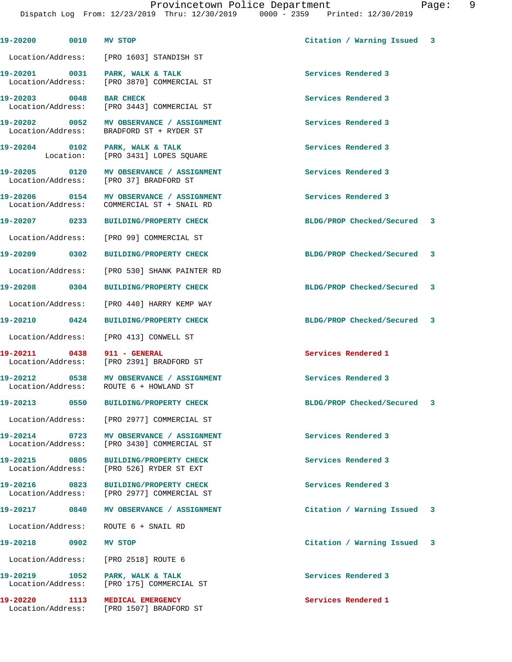Provincetown Police Department Page: 9 Dispatch Log From: 12/23/2019 Thru: 12/30/2019 0000 - 2359 Printed: 12/30/2019 **19-20200 0010 MV STOP Citation / Warning Issued 3** Location/Address: [PRO 1603] STANDISH ST **19-20201 0031 PARK, WALK & TALK Services Rendered 3**  Location/Address: [PRO 3870] COMMERCIAL ST **19-20203 0048 BAR CHECK Services Rendered 3**  Location/Address: [PRO 3443] COMMERCIAL ST **19-20202 0052 MV OBSERVANCE / ASSIGNMENT Services Rendered 3**  Location/Address: BRADFORD ST + RYDER ST 19-20204 0102 PARK, WALK & TALK **Services Rendered 3**  Location: [PRO 3431] LOPES SQUARE **19-20205 0120 MV OBSERVANCE / ASSIGNMENT Services Rendered 3**  Location/Address: [PRO 37] BRADFORD ST **19-20206 0154 MV OBSERVANCE / ASSIGNMENT Services Rendered 3**  Location/Address: COMMERCIAL ST + SNAIL RD **19-20207 0233 BUILDING/PROPERTY CHECK BLDG/PROP Checked/Secured 3** Location/Address: [PRO 99] COMMERCIAL ST **19-20209 0302 BUILDING/PROPERTY CHECK BLDG/PROP Checked/Secured 3** Location/Address: [PRO 530] SHANK PAINTER RD **19-20208 0304 BUILDING/PROPERTY CHECK BLDG/PROP Checked/Secured 3** Location/Address: [PRO 440] HARRY KEMP WAY **19-20210 0424 BUILDING/PROPERTY CHECK BLDG/PROP Checked/Secured 3** Location/Address: [PRO 413] CONWELL ST **19-20211 0438 911 - GENERAL Services Rendered 1**  [PRO 2391] BRADFORD ST **19-20212 0538 MV OBSERVANCE / ASSIGNMENT Services Rendered 3**  Location/Address: ROUTE 6 + HOWLAND ST **19-20213 0550 BUILDING/PROPERTY CHECK BLDG/PROP Checked/Secured 3** Location/Address: [PRO 2977] COMMERCIAL ST **19-20214 0723 MV OBSERVANCE / ASSIGNMENT Services Rendered 3**  Location/Address: [PRO 3430] COMMERCIAL ST **19-20215 0805 BUILDING/PROPERTY CHECK Services Rendered 3**  Location/Address: [PRO 526] RYDER ST EXT **19-20216 0823 BUILDING/PROPERTY CHECK Services Rendered 3**  Location/Address: [PRO 2977] COMMERCIAL ST **19-20217 0840 MV OBSERVANCE / ASSIGNMENT Citation / Warning Issued 3** Location/Address: ROUTE 6 + SNAIL RD **19-20218 0902 MV STOP Citation / Warning Issued 3**

**19-20219 1052 PARK, WALK & TALK Services Rendered 3**  Location/Address: [PRO 175] COMMERCIAL ST

**19-20220 1113 MEDICAL EMERGENCY Services Rendered 1**  Location/Address: [PRO 1507] BRADFORD ST

Location/Address: [PRO 2518] ROUTE 6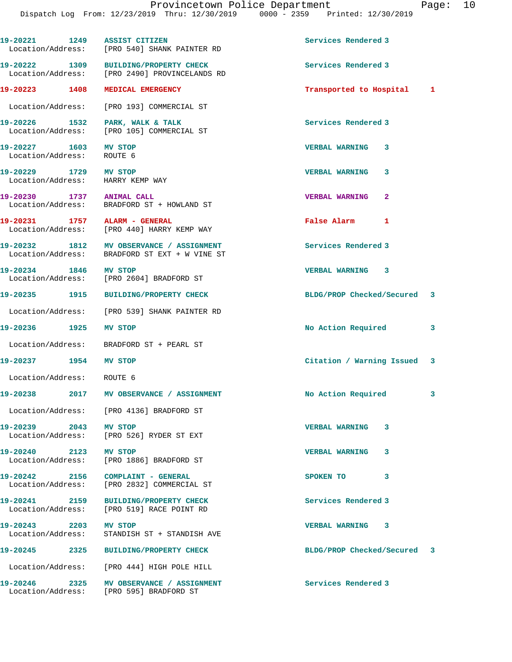| 19-20221 1249 ASSIST CITIZEN                              | Location/Address: [PRO 540] SHANK PAINTER RD                                              | Services Rendered 3                   |  |
|-----------------------------------------------------------|-------------------------------------------------------------------------------------------|---------------------------------------|--|
|                                                           | 19-20222 1309 BUILDING/PROPERTY CHECK<br>Location/Address: [PRO 2490] PROVINCELANDS RD    | Services Rendered 3                   |  |
| 19-20223 1408                                             | MEDICAL EMERGENCY                                                                         | Transported to Hospital 1             |  |
|                                                           | Location/Address: [PRO 193] COMMERCIAL ST                                                 |                                       |  |
|                                                           | 19-20226 1532 PARK, WALK & TALK<br>Location/Address: [PRO 105] COMMERCIAL ST              | Services Rendered 3                   |  |
| 19-20227 1603<br>Location/Address: ROUTE 6                | MV STOP                                                                                   | VERBAL WARNING 3                      |  |
| 19-20229 1729 MV STOP<br>Location/Address: HARRY KEMP WAY |                                                                                           | <b>VERBAL WARNING</b><br>3            |  |
| 19-20230 1737 ANIMAL CALL                                 | Location/Address: BRADFORD ST + HOWLAND ST                                                | <b>VERBAL WARNING</b><br>$\mathbf{2}$ |  |
| 19-20231 1757 ALARM - GENERAL                             | Location/Address: [PRO 440] HARRY KEMP WAY                                                | False Alarm 1                         |  |
|                                                           | 19-20232 1812 MV OBSERVANCE / ASSIGNMENT<br>Location/Address: BRADFORD ST EXT + W VINE ST | Services Rendered 3                   |  |
| 19-20234 1846 MV STOP                                     | Location/Address: [PRO 2604] BRADFORD ST                                                  | <b>VERBAL WARNING 3</b>               |  |
|                                                           | 19-20235 1915 BUILDING/PROPERTY CHECK                                                     | BLDG/PROP Checked/Secured 3           |  |
|                                                           | Location/Address: [PRO 539] SHANK PAINTER RD                                              |                                       |  |
| 19-20236 1925                                             | MV STOP                                                                                   | No Action Required<br>3               |  |
|                                                           | Location/Address: BRADFORD ST + PEARL ST                                                  |                                       |  |
| 19-20237 1954 MV STOP                                     |                                                                                           | Citation / Warning Issued 3           |  |
| Location/Address: ROUTE 6                                 |                                                                                           |                                       |  |
|                                                           | 19-20238 2017 MV OBSERVANCE / ASSIGNMENT                                                  | No Action Required<br>3               |  |
|                                                           | Location/Address: [PRO 4136] BRADFORD ST                                                  |                                       |  |
| 19-20239 2043 MV STOP                                     | Location/Address: [PRO 526] RYDER ST EXT                                                  | <b>VERBAL WARNING</b><br>3            |  |
| 19-20240 2123 MV STOP                                     | Location/Address: [PRO 1886] BRADFORD ST                                                  | <b>VERBAL WARNING</b><br>3            |  |
|                                                           | 19-20242 2156 COMPLAINT - GENERAL<br>Location/Address: [PRO 2832] COMMERCIAL ST           | SPOKEN TO<br>3                        |  |
|                                                           | 19-20241 2159 BUILDING/PROPERTY CHECK<br>Location/Address: [PRO 519] RACE POINT RD        | Services Rendered 3                   |  |
| 19-20243 2203<br>Location/Address:                        | <b>MV STOP</b><br>STANDISH ST + STANDISH AVE                                              | VERBAL WARNING 3                      |  |
|                                                           | 19-20245 2325 BUILDING/PROPERTY CHECK                                                     | BLDG/PROP Checked/Secured 3           |  |
|                                                           | Location/Address: [PRO 444] HIGH POLE HILL                                                |                                       |  |
| 19-20246 2325                                             | MV OBSERVANCE / ASSIGNMENT<br>Location/Address: [PRO 595] BRADFORD ST                     | Services Rendered 3                   |  |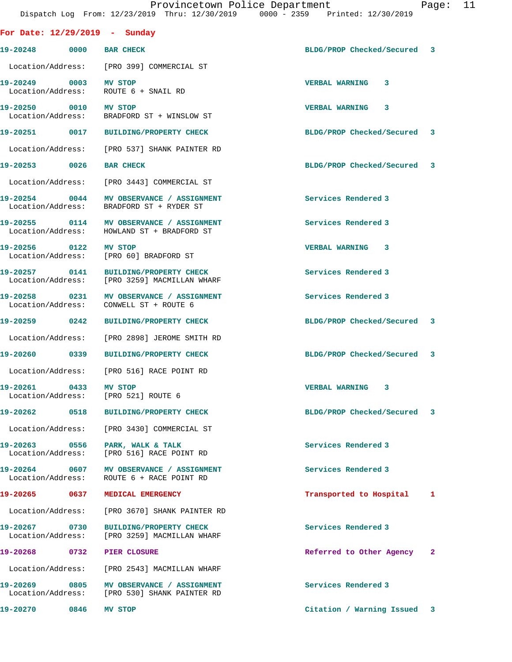|  |                                                | Provincetown Police Department  | Page: | - 11 |
|--|------------------------------------------------|---------------------------------|-------|------|
|  | Dispatch Log From: 12/23/2019 Thru: 12/30/2019 | 0000 - 2359 Printed: 12/30/2019 |       |      |

| For Date: $12/29/2019$ - Sunday    |                                                                                        |                             |              |
|------------------------------------|----------------------------------------------------------------------------------------|-----------------------------|--------------|
| 19-20248 0000                      | <b>BAR CHECK</b>                                                                       | BLDG/PROP Checked/Secured 3 |              |
|                                    | Location/Address: [PRO 399] COMMERCIAL ST                                              |                             |              |
| 19-20249 0003                      | MV STOP<br>Location/Address: ROUTE 6 + SNAIL RD                                        | VERBAL WARNING 3            |              |
| 19-20250 0010 MV STOP              | Location/Address: BRADFORD ST + WINSLOW ST                                             | <b>VERBAL WARNING 3</b>     |              |
|                                    |                                                                                        | BLDG/PROP Checked/Secured 3 |              |
|                                    | Location/Address: [PRO 537] SHANK PAINTER RD                                           |                             |              |
| 19-20253 0026                      | <b>BAR CHECK</b>                                                                       | BLDG/PROP Checked/Secured 3 |              |
|                                    | Location/Address: [PRO 3443] COMMERCIAL ST                                             |                             |              |
|                                    | 19-20254 0044 MV OBSERVANCE / ASSIGNMENT<br>Location/Address: BRADFORD ST + RYDER ST   | Services Rendered 3         |              |
|                                    | 19-20255 0114 MV OBSERVANCE / ASSIGNMENT<br>Location/Address: HOWLAND ST + BRADFORD ST | Services Rendered 3         |              |
| 19-20256 0122 MV STOP              | Location/Address: [PRO 60] BRADFORD ST                                                 | VERBAL WARNING 3            |              |
|                                    | 19-20257 0141 BUILDING/PROPERTY CHECK<br>Location/Address: [PRO 3259] MACMILLAN WHARF  | Services Rendered 3         |              |
| Location/Address:                  | CONWELL ST + ROUTE 6                                                                   | Services Rendered 3         |              |
| 19-20259 0242                      | BUILDING/PROPERTY CHECK                                                                | BLDG/PROP Checked/Secured 3 |              |
| Location/Address:                  | [PRO 2898] JEROME SMITH RD                                                             |                             |              |
| 19-20260 0339                      | <b>BUILDING/PROPERTY CHECK</b>                                                         | BLDG/PROP Checked/Secured 3 |              |
|                                    | Location/Address: [PRO 516] RACE POINT RD                                              |                             |              |
| 19-20261 0433<br>Location/Address: | MV STOP<br>[PRO 521] ROUTE 6                                                           | VERBAL WARNING 3            |              |
|                                    | BUILDING/PROPERTY CHECK                                                                | BLDG/PROP Checked/Secured   | $\mathbf{3}$ |
|                                    | Location/Address: [PRO 3430] COMMERCIAL ST                                             |                             |              |
| 19-20263 0556                      | PARK, WALK & TALK<br>Location/Address: [PRO 516] RACE POINT RD                         | Services Rendered 3         |              |
| 19-20264 0607                      | MV OBSERVANCE / ASSIGNMENT<br>Location/Address: ROUTE 6 + RACE POINT RD                | Services Rendered 3         |              |
|                                    | 19-20265 0637 MEDICAL EMERGENCY                                                        | Transported to Hospital     | $\mathbf{1}$ |
|                                    | Location/Address: [PRO 3670] SHANK PAINTER RD                                          |                             |              |
|                                    | 19-20267 0730 BUILDING/PROPERTY CHECK<br>Location/Address: [PRO 3259] MACMILLAN WHARF  | Services Rendered 3         |              |
|                                    |                                                                                        | Referred to Other Agency    | 2            |
|                                    | Location/Address: [PRO 2543] MACMILLAN WHARF                                           |                             |              |
|                                    | Location/Address: [PRO 530] SHANK PAINTER RD                                           | Services Rendered 3         |              |
| 19-20270 0846                      | <b>MV STOP</b>                                                                         | Citation / Warning Issued 3 |              |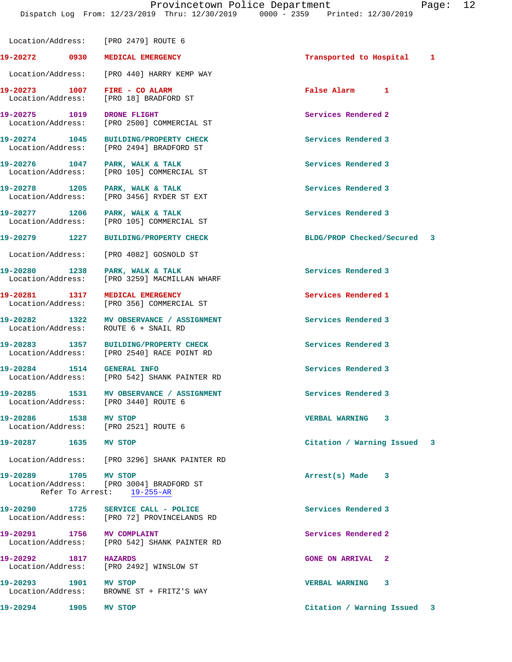Location/Address: [PRO 2479] ROUTE 6 **19-20272 0930 MEDICAL EMERGENCY Transported to Hospital 1** Location/Address: [PRO 440] HARRY KEMP WAY **19-20273 1007 FIRE - CO ALARM False Alarm 1**  Location/Address: [PRO 18] BRADFORD ST 19-20275 1019 DRONE FLIGHT **10.19 Services Rendered 2**  Location/Address: [PRO 2500] COMMERCIAL ST **19-20274 1045 BUILDING/PROPERTY CHECK Services Rendered 3**  Location/Address: [PRO 2494] BRADFORD ST 19-20276 1047 PARK, WALK & TALK **Services Rendered 3**  Location/Address: [PRO 105] COMMERCIAL ST 19-20278 1205 PARK, WALK & TALK **Services Rendered 3**  Location/Address: [PRO 3456] RYDER ST EXT 19-20277 1206 PARK, WALK & TALK **Services Rendered 3**  Location/Address: [PRO 105] COMMERCIAL ST **19-20279 1227 BUILDING/PROPERTY CHECK BLDG/PROP Checked/Secured 3** Location/Address: [PRO 4082] GOSNOLD ST 19-20280 1238 PARK, WALK & TALK **Services Rendered 3**  Location/Address: [PRO 3259] MACMILLAN WHARF **19-20281 1317 MEDICAL EMERGENCY Services Rendered 1**  Location/Address: [PRO 356] COMMERCIAL ST **19-20282 1322 MV OBSERVANCE / ASSIGNMENT Services Rendered 3**  Location/Address: ROUTE 6 + SNAIL RD **19-20283 1357 BUILDING/PROPERTY CHECK Services Rendered 3**  Location/Address: [PRO 2540] RACE POINT RD **19-20284 1514 GENERAL INFO Services Rendered 3**  Location/Address: [PRO 542] SHANK PAINTER RD 19-20285 1531 MV OBSERVANCE / ASSIGNMENT **Services Rendered 3**  Location/Address: [PRO 3440] ROUTE 6 **19-20286 1538 MV STOP VERBAL WARNING 3**  Location/Address: **19-20287 1635 MV STOP Citation / Warning Issued 3** Location/Address: [PRO 3296] SHANK PAINTER RD **19-20289 1705 MV STOP Arrest(s) Made 3**  [PRO 3004] BRADFORD ST Refer To Arrest: 19-255-AR **19-20290 1725 SERVICE CALL - POLICE Services Rendered 3**  Location/Address: [PRO 72] PROVINCELANDS RD **19-20291 1756 MV COMPLAINT Services Rendered 2**  Location/Address: [PRO 542] SHANK PAINTER RD **19-20292 1817 HAZARDS GONE ON ARRIVAL 2**  Location/Address: [PRO 2492] WINSLOW ST **19-20293 1901 MV STOP VERBAL WARNING 3**  Location/Address: BROWNE ST + FRITZ'S WAY

**19-20294 1905 MV STOP Citation / Warning Issued 3**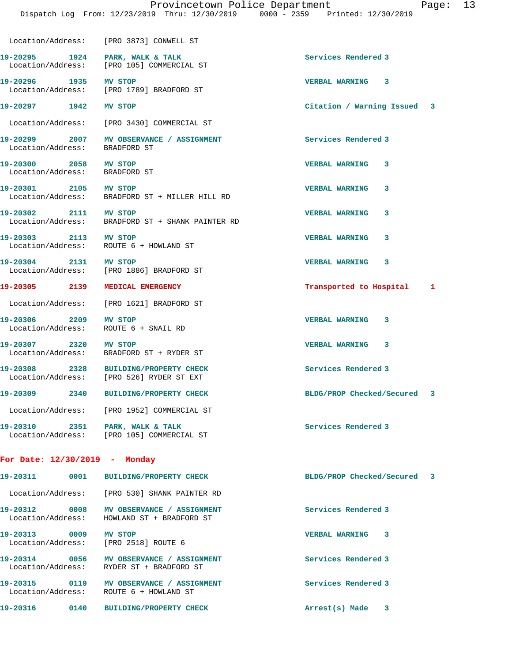19-20295 1924 PARK, WALK & TALK **Services Rendered 3** 

Location/Address: [PRO 3873] CONWELL ST

 Location/Address: [PRO 105] COMMERCIAL ST **19-20296 1935 MV STOP VERBAL WARNING 3**  Location/Address: [PRO 1789] BRADFORD ST **19-20297 1942 MV STOP Citation / Warning Issued 3** Location/Address: [PRO 3430] COMMERCIAL ST **19-20299 2007 MV OBSERVANCE / ASSIGNMENT Services Rendered 3**  Location/Address: BRADFORD ST **19-20300 2058 MV STOP VERBAL WARNING 3**  Location/Address: BRADFORD ST **19-20301 2105 MV STOP VERBAL WARNING 3**  Location/Address: BRADFORD ST + MILLER HILL RD **19-20302 2111 MV STOP VERBAL WARNING 3**  Location/Address: BRADFORD ST + SHANK PAINTER RD **19-20303 2113 MV STOP VERBAL WARNING 3**  Location/Address: ROUTE 6 + HOWLAND ST **19-20304 2131 MV STOP VERBAL WARNING 3**  Location/Address: [PRO 1886] BRADFORD ST **19-20305 2139 MEDICAL EMERGENCY Transported to Hospital 1** Location/Address: [PRO 1621] BRADFORD ST **19-20306 2209 MV STOP VERBAL WARNING 3**  Location/Address: ROUTE 6 + SNAIL RD **19-20307 2320 MV STOP VERBAL WARNING 3**  Location/Address: BRADFORD ST + RYDER ST **19-20308 2328 BUILDING/PROPERTY CHECK Services Rendered 3**  Location/Address: [PRO 526] RYDER ST EXT **19-20309 2340 BUILDING/PROPERTY CHECK BLDG/PROP Checked/Secured 3** Location/Address: [PRO 1952] COMMERCIAL ST 19-20310 **2351** PARK, WALK & TALK **Services Rendered 3**  Location/Address: [PRO 105] COMMERCIAL ST **For Date: 12/30/2019 - Monday 19-20311 0001 BUILDING/PROPERTY CHECK BLDG/PROP Checked/Secured 3**

 Location/Address: [PRO 530] SHANK PAINTER RD **19-20312 0008 MV OBSERVANCE / ASSIGNMENT Services Rendered 3**  Location/Address: HOWLAND ST + BRADFORD ST **19-20313 0009 MV STOP VERBAL WARNING 3**  Location/Address: [PRO 2518] ROUTE 6 **19-20314 0056 MV OBSERVANCE / ASSIGNMENT Services Rendered 3**  Location/Address: RYDER ST + BRADFORD ST **19-20315 0119 MV OBSERVANCE / ASSIGNMENT Services Rendered 3**  Location/Address: ROUTE 6 + HOWLAND ST **19-20316 0140 BUILDING/PROPERTY CHECK Arrest(s) Made 3**